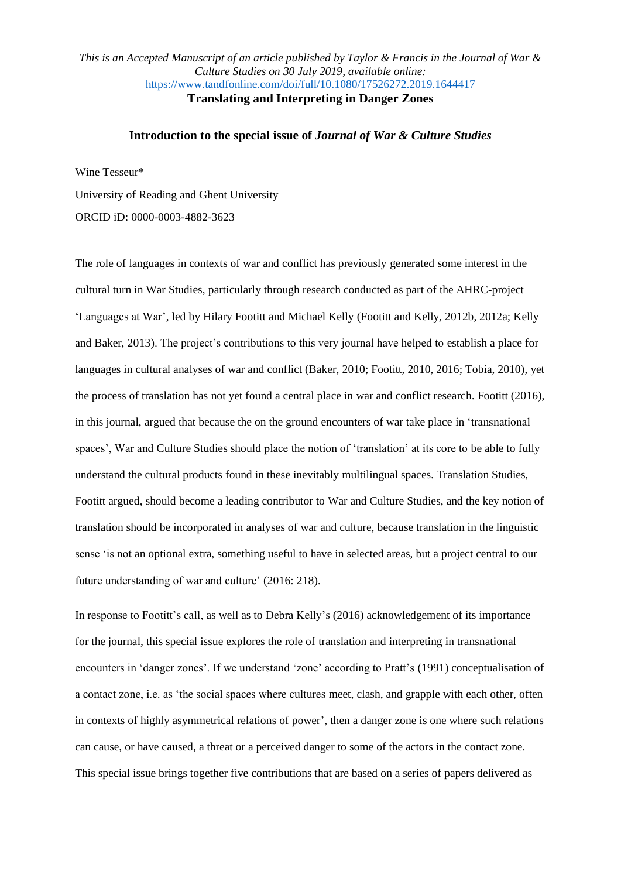## *This is an Accepted Manuscript of an article published by Taylor & Francis in the Journal of War & Culture Studies on 30 July 2019, available online:*  <https://www.tandfonline.com/doi/full/10.1080/17526272.2019.1644417> **Translating and Interpreting in Danger Zones**

#### **Introduction to the special issue of** *Journal of War & Culture Studies*

Wine Tesseur\*

University of Reading and Ghent University

ORCID iD: 0000-0003-4882-3623

The role of languages in contexts of war and conflict has previously generated some interest in the cultural turn in War Studies, particularly through research conducted as part of the AHRC-project 'Languages at War', led by Hilary Footitt and Michael Kelly (Footitt and Kelly, 2012b, 2012a; Kelly and Baker, 2013). The project's contributions to this very journal have helped to establish a place for languages in cultural analyses of war and conflict (Baker, 2010; Footitt, 2010, 2016; Tobia, 2010), yet the process of translation has not yet found a central place in war and conflict research. Footitt (2016), in this journal, argued that because the on the ground encounters of war take place in 'transnational spaces', War and Culture Studies should place the notion of 'translation' at its core to be able to fully understand the cultural products found in these inevitably multilingual spaces. Translation Studies, Footitt argued, should become a leading contributor to War and Culture Studies, and the key notion of translation should be incorporated in analyses of war and culture, because translation in the linguistic sense 'is not an optional extra, something useful to have in selected areas, but a project central to our future understanding of war and culture' (2016: 218).

In response to Footitt's call, as well as to Debra Kelly's (2016) acknowledgement of its importance for the journal, this special issue explores the role of translation and interpreting in transnational encounters in 'danger zones'. If we understand 'zone' according to Pratt's (1991) conceptualisation of a contact zone, i.e. as 'the social spaces where cultures meet, clash, and grapple with each other, often in contexts of highly asymmetrical relations of power', then a danger zone is one where such relations can cause, or have caused, a threat or a perceived danger to some of the actors in the contact zone. This special issue brings together five contributions that are based on a series of papers delivered as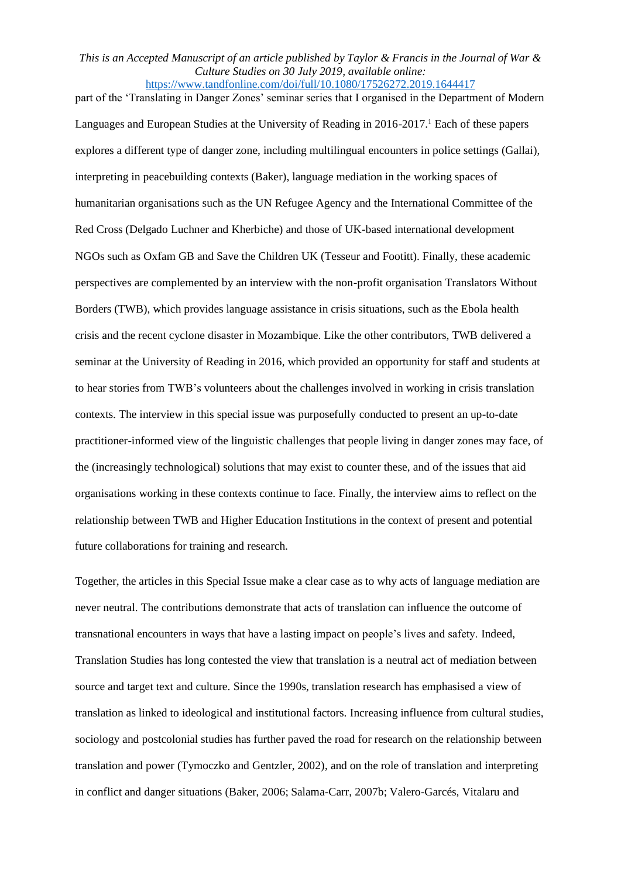part of the 'Translating in Danger Zones' seminar series that I organised in the Department of Modern Languages and European Studies at the University of Reading in 2016-2017.<sup>1</sup> Each of these papers explores a different type of danger zone, including multilingual encounters in police settings (Gallai), interpreting in peacebuilding contexts (Baker), language mediation in the working spaces of humanitarian organisations such as the UN Refugee Agency and the International Committee of the Red Cross (Delgado Luchner and Kherbiche) and those of UK-based international development NGOs such as Oxfam GB and Save the Children UK (Tesseur and Footitt). Finally, these academic perspectives are complemented by an interview with the non-profit organisation Translators Without Borders (TWB), which provides language assistance in crisis situations, such as the Ebola health crisis and the recent cyclone disaster in Mozambique. Like the other contributors, TWB delivered a seminar at the University of Reading in 2016, which provided an opportunity for staff and students at to hear stories from TWB's volunteers about the challenges involved in working in crisis translation contexts. The interview in this special issue was purposefully conducted to present an up-to-date practitioner-informed view of the linguistic challenges that people living in danger zones may face, of the (increasingly technological) solutions that may exist to counter these, and of the issues that aid organisations working in these contexts continue to face. Finally, the interview aims to reflect on the relationship between TWB and Higher Education Institutions in the context of present and potential future collaborations for training and research.

Together, the articles in this Special Issue make a clear case as to why acts of language mediation are never neutral. The contributions demonstrate that acts of translation can influence the outcome of transnational encounters in ways that have a lasting impact on people's lives and safety. Indeed, Translation Studies has long contested the view that translation is a neutral act of mediation between source and target text and culture. Since the 1990s, translation research has emphasised a view of translation as linked to ideological and institutional factors. Increasing influence from cultural studies, sociology and postcolonial studies has further paved the road for research on the relationship between translation and power (Tymoczko and Gentzler, 2002), and on the role of translation and interpreting in conflict and danger situations (Baker, 2006; Salama-Carr, 2007b; Valero-Garcés, Vitalaru and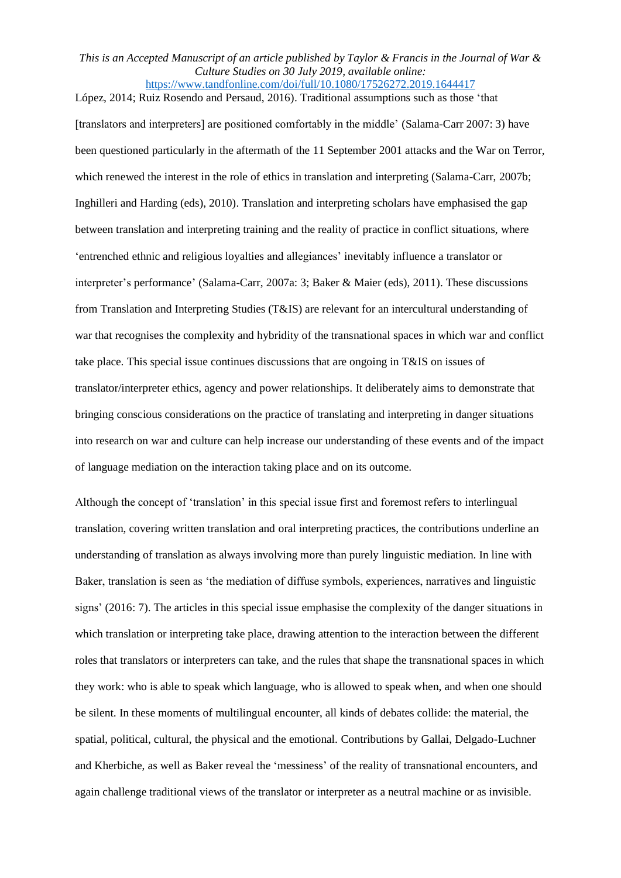López, 2014; Ruiz Rosendo and Persaud, 2016). Traditional assumptions such as those 'that [translators and interpreters] are positioned comfortably in the middle' (Salama-Carr 2007: 3) have been questioned particularly in the aftermath of the 11 September 2001 attacks and the War on Terror, which renewed the interest in the role of ethics in translation and interpreting (Salama-Carr, 2007b; Inghilleri and Harding (eds), 2010). Translation and interpreting scholars have emphasised the gap between translation and interpreting training and the reality of practice in conflict situations, where 'entrenched ethnic and religious loyalties and allegiances' inevitably influence a translator or interpreter's performance' (Salama-Carr, 2007a: 3; Baker & Maier (eds), 2011). These discussions from Translation and Interpreting Studies (T&IS) are relevant for an intercultural understanding of war that recognises the complexity and hybridity of the transnational spaces in which war and conflict take place. This special issue continues discussions that are ongoing in T&IS on issues of translator/interpreter ethics, agency and power relationships. It deliberately aims to demonstrate that bringing conscious considerations on the practice of translating and interpreting in danger situations into research on war and culture can help increase our understanding of these events and of the impact of language mediation on the interaction taking place and on its outcome.

Although the concept of 'translation' in this special issue first and foremost refers to interlingual translation, covering written translation and oral interpreting practices, the contributions underline an understanding of translation as always involving more than purely linguistic mediation. In line with Baker, translation is seen as 'the mediation of diffuse symbols, experiences, narratives and linguistic signs' (2016: 7). The articles in this special issue emphasise the complexity of the danger situations in which translation or interpreting take place, drawing attention to the interaction between the different roles that translators or interpreters can take, and the rules that shape the transnational spaces in which they work: who is able to speak which language, who is allowed to speak when, and when one should be silent. In these moments of multilingual encounter, all kinds of debates collide: the material, the spatial, political, cultural, the physical and the emotional. Contributions by Gallai, Delgado-Luchner and Kherbiche, as well as Baker reveal the 'messiness' of the reality of transnational encounters, and again challenge traditional views of the translator or interpreter as a neutral machine or as invisible.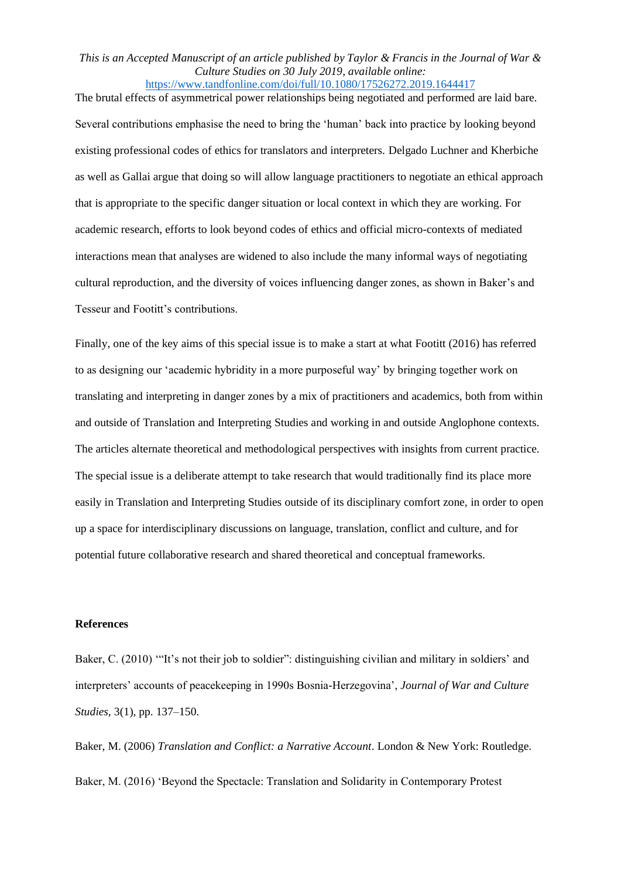# *This is an Accepted Manuscript of an article published by Taylor & Francis in the Journal of War & Culture Studies on 30 July 2019, available online:*

<https://www.tandfonline.com/doi/full/10.1080/17526272.2019.1644417> The brutal effects of asymmetrical power relationships being negotiated and performed are laid bare. Several contributions emphasise the need to bring the 'human' back into practice by looking beyond existing professional codes of ethics for translators and interpreters. Delgado Luchner and Kherbiche as well as Gallai argue that doing so will allow language practitioners to negotiate an ethical approach that is appropriate to the specific danger situation or local context in which they are working. For academic research, efforts to look beyond codes of ethics and official micro-contexts of mediated interactions mean that analyses are widened to also include the many informal ways of negotiating cultural reproduction, and the diversity of voices influencing danger zones, as shown in Baker's and Tesseur and Footitt's contributions.

Finally, one of the key aims of this special issue is to make a start at what Footitt (2016) has referred to as designing our 'academic hybridity in a more purposeful way' by bringing together work on translating and interpreting in danger zones by a mix of practitioners and academics, both from within and outside of Translation and Interpreting Studies and working in and outside Anglophone contexts. The articles alternate theoretical and methodological perspectives with insights from current practice. The special issue is a deliberate attempt to take research that would traditionally find its place more easily in Translation and Interpreting Studies outside of its disciplinary comfort zone, in order to open up a space for interdisciplinary discussions on language, translation, conflict and culture, and for potential future collaborative research and shared theoretical and conceptual frameworks.

### **References**

Baker, C. (2010) '"It's not their job to soldier": distinguishing civilian and military in soldiers' and interpreters' accounts of peacekeeping in 1990s Bosnia-Herzegovina', *Journal of War and Culture Studies*, 3(1), pp. 137–150.

Baker, M. (2006) *Translation and Conflict: a Narrative Account*. London & New York: Routledge. Baker, M. (2016) 'Beyond the Spectacle: Translation and Solidarity in Contemporary Protest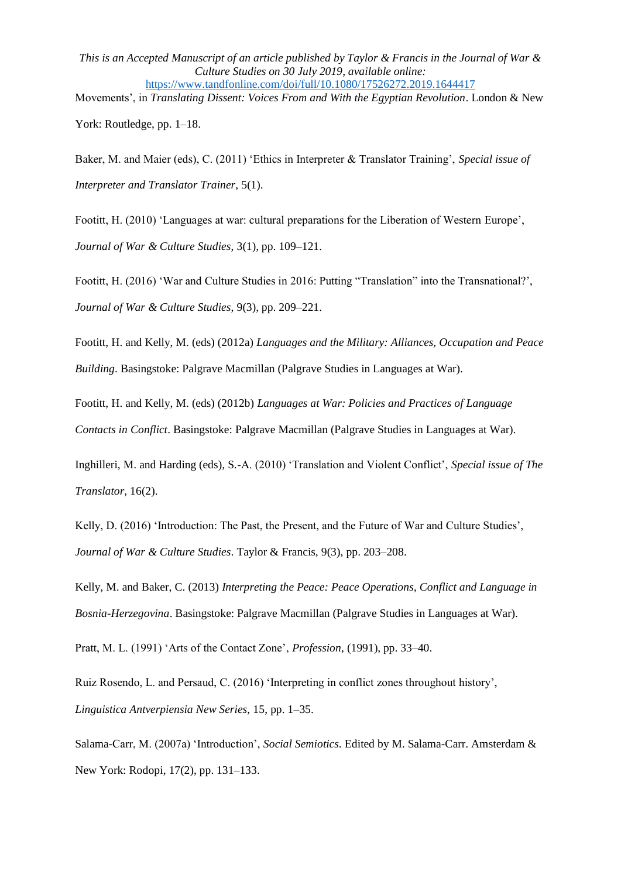Movements', in *Translating Dissent: Voices From and With the Egyptian Revolution*. London & New York: Routledge, pp. 1–18.

Baker, M. and Maier (eds), C. (2011) 'Ethics in Interpreter & Translator Training', *Special issue of Interpreter and Translator Trainer*, 5(1).

Footitt, H. (2010) 'Languages at war: cultural preparations for the Liberation of Western Europe', *Journal of War & Culture Studies*, 3(1), pp. 109–121.

Footitt, H. (2016) 'War and Culture Studies in 2016: Putting "Translation" into the Transnational?', *Journal of War & Culture Studies*, 9(3), pp. 209–221.

Footitt, H. and Kelly, M. (eds) (2012a) *Languages and the Military: Alliances, Occupation and Peace Building*. Basingstoke: Palgrave Macmillan (Palgrave Studies in Languages at War).

Footitt, H. and Kelly, M. (eds) (2012b) *Languages at War: Policies and Practices of Language Contacts in Conflict*. Basingstoke: Palgrave Macmillan (Palgrave Studies in Languages at War).

Inghilleri, M. and Harding (eds), S.-A. (2010) 'Translation and Violent Conflict', *Special issue of The Translator*, 16(2).

Kelly, D. (2016) 'Introduction: The Past, the Present, and the Future of War and Culture Studies', *Journal of War & Culture Studies*. Taylor & Francis, 9(3), pp. 203–208.

Kelly, M. and Baker, C. (2013) *Interpreting the Peace: Peace Operations, Conflict and Language in Bosnia-Herzegovina*. Basingstoke: Palgrave Macmillan (Palgrave Studies in Languages at War).

Pratt, M. L. (1991) 'Arts of the Contact Zone', *Profession*, (1991), pp. 33–40.

Ruiz Rosendo, L. and Persaud, C. (2016) 'Interpreting in conflict zones throughout history', *Linguistica Antverpiensia New Series*, 15, pp. 1–35.

Salama-Carr, M. (2007a) 'Introduction', *Social Semiotics*. Edited by M. Salama-Carr. Amsterdam & New York: Rodopi, 17(2), pp. 131–133.